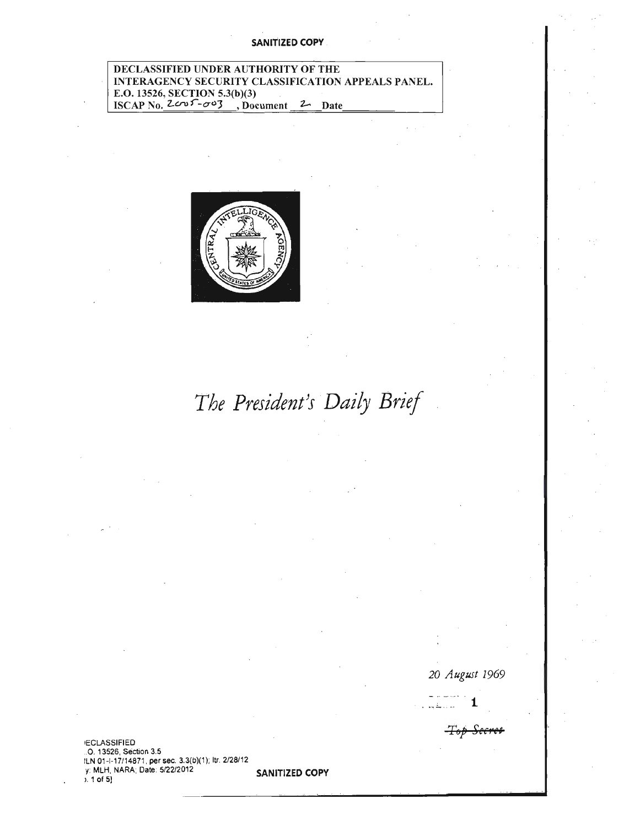#### **SANITIZED COPY**

#### DECLASSIFIED UNDER AUTHORITY OF THE INTERAGENCY SECURITY CLASSIFICATION APPEALS PANEL. E.O. 13526, SECTION 5.3(b)(3)<br>ISCAP No.  $2c^{0.5}$  -  $\sigma^{0.3}$ , Doc , Document 2 Date



# The President's Daily Brief

20 August 1969

 $T_{\theta p}$ 

**ECLASSIFIED** .O. 13526, Section 3.5 ILN 01-1-17/14871, per sec. 3.3(b)(1); ltr. 2/28/12<br>y: MLH, NARA; Date: 5/22/2012

 $5.1$  of 5]

**SANITIZED COPY**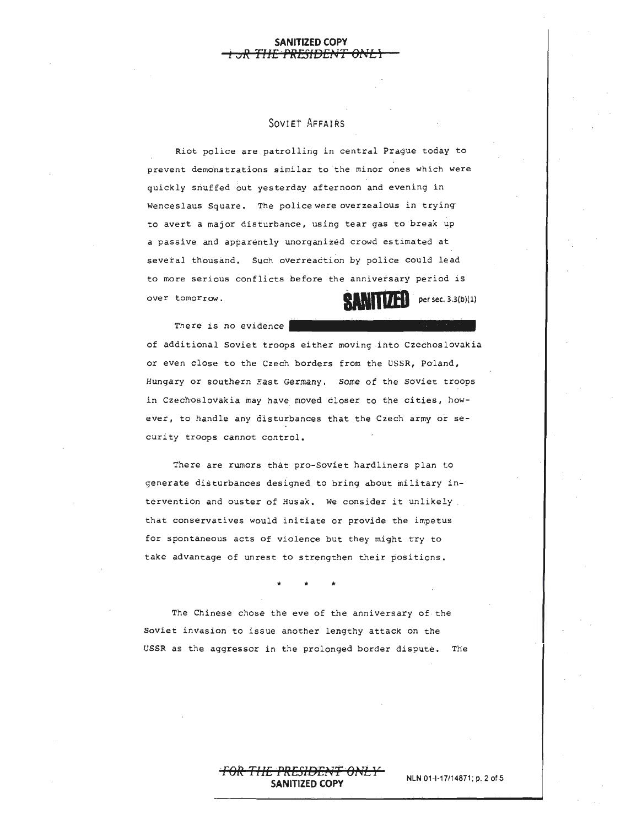#### **SANITIZED COPY**  · **i ·oR Tl'fE ·PR.ESIDEf•lT Oi\tL) ·**

#### SOVIET AFFAIRS

Riot police are patrolling in central Prague today to prevent demonstrations similar to the minor ones which were quickly snuffed out yesterday afternoon and evening in Wenceslaus Square. The police were overzealous in trying· to avert a major disturbance, using tear gas to break up a passive and apparently unorganized crowd estimated at several thousand, such overreaction by police could lead to more serious conflicts before the anniversary period is<br>over tomorrow. <br> **ITIZED** persec. 3.3(b)(1)

There is no evidence of additional Soviet troops either moving into Czechoslovakia or even close to the Czech borders from the USSR, Poland, Hungary or southern *East* Germany. some of the soviet troops in Czechoslovakia may have moved closer to the cities, however, to handle any disturbances that the Czech army or security troops cannot control.

There are rumors that pro-Soviet hardliners plan to generate disturbances designed *to* bring about military intervention and ouster of Husak. We consider it unlikely that conservatives would initiate or provide the impetus for spontaneous acts of violence but they might try to take advantage of unrest to strengthen their positions.

The Chinese chose the eve of the anniversary of the Soviet invasion to issue another lengthy attack on the USSR as the aggressor in the prolonged border dispute. The

#### <del>1777 - 17</del> **NLN** 01-1-17114871; p. 2 of <sup>5</sup> **SANITIZED COPY**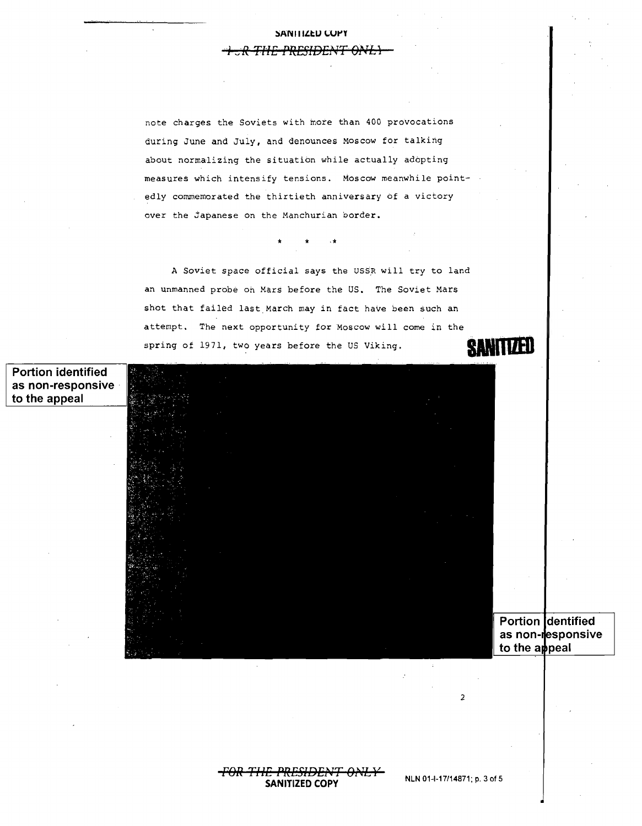### **:SAN 111£tU** ~Ut'Y **<sup>J</sup>***.\_,I. R Tt-'E* . . **i <sup>1</sup>***PRESVE'* **- 4 . 1f T o-.r 1'** *L***1**

note charges the Soviets with more than 400 provocations during June and July, and denounces Moscow for talking about normalizing the situation while actually adopting measures which intensify tensions. Moscow meanwhile pointedly commemorated the thirtieth anniversary of a victory over the japanese on the Manchurian border.

A Soviet space official says the USSR will try to land an unmanned probe on Mars before the US. The Soviet Mars shot that failed last March may in fact have been such an attempt. The next opportunity for Moscow will come in the spring of 1971, two years before the US Viking. **GANITI/HI** 

·\* \* \*

**Portion identified as non-responsive** · to the appeal

|                    |  |  | <b>Golden Way</b> |  |
|--------------------|--|--|-------------------|--|
|                    |  |  |                   |  |
|                    |  |  |                   |  |
| ÷                  |  |  |                   |  |
| ŝ<br>и             |  |  |                   |  |
| ٠<br>ь<br>D.<br>I. |  |  |                   |  |
|                    |  |  |                   |  |
|                    |  |  |                   |  |
|                    |  |  |                   |  |
|                    |  |  |                   |  |
|                    |  |  |                   |  |
|                    |  |  |                   |  |
|                    |  |  |                   |  |

Portion dentified as non-responsive to the appeal

**NLN 01-1-17/14871; p.** 3 of <sup>5</sup> **SANITIZED COPY** 

2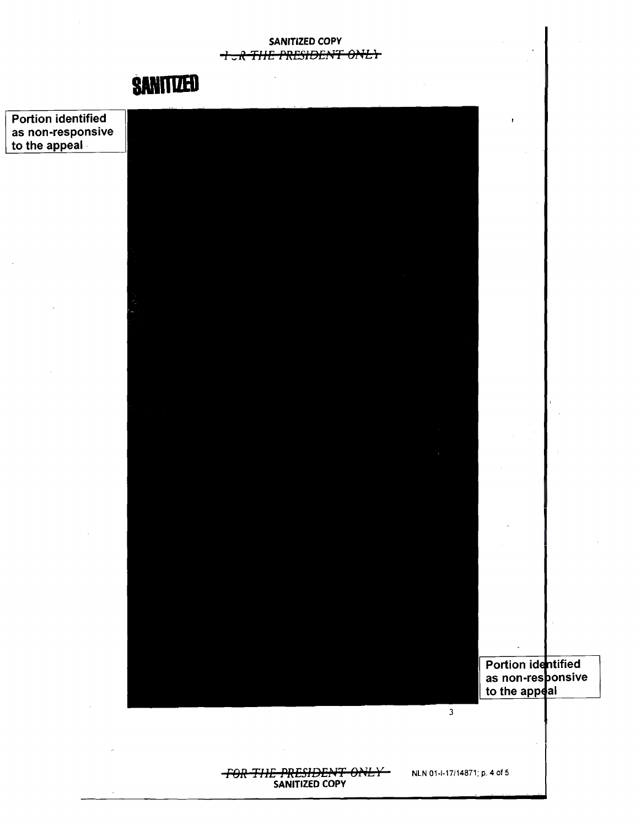SANITIZED COPY **I JR THE PRESIDENT ONLY** 



Portion identified as non-responsive to the appeal

> Portion identified as non-responsive<br>to the appeal

#### **FOR THE PRESIDENT ONLY** SANITIZED COPY

NLN 01-1-17/14871; p. 4 of 5

 $\overline{\mathbf{3}}$